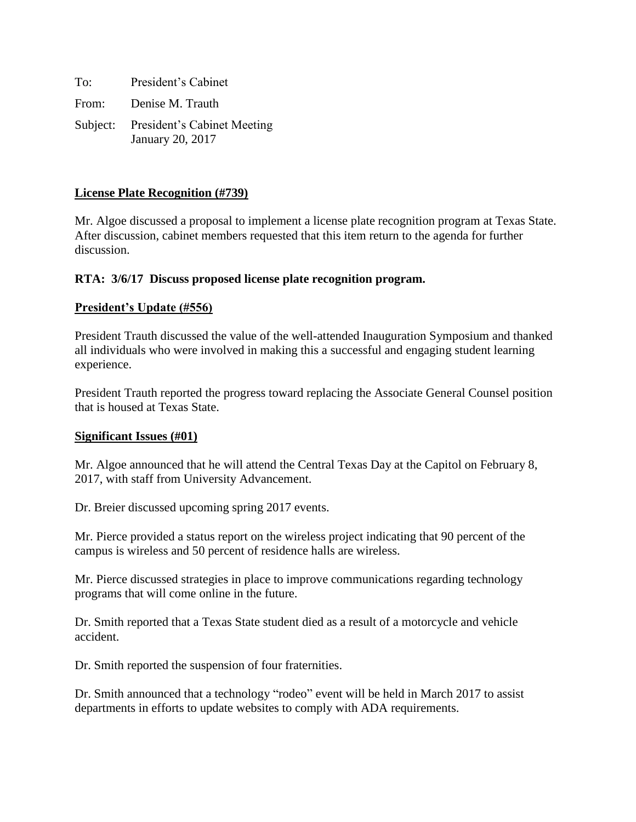| To: | President's Cabinet                                             |
|-----|-----------------------------------------------------------------|
|     | From: Denise M. Trauth                                          |
|     | Subject: President's Cabinet Meeting<br><b>January 20, 2017</b> |

### **License Plate Recognition (#739)**

Mr. Algoe discussed a proposal to implement a license plate recognition program at Texas State. After discussion, cabinet members requested that this item return to the agenda for further discussion.

#### **RTA: 3/6/17 Discuss proposed license plate recognition program.**

#### **President's Update (#556)**

President Trauth discussed the value of the well-attended Inauguration Symposium and thanked all individuals who were involved in making this a successful and engaging student learning experience.

President Trauth reported the progress toward replacing the Associate General Counsel position that is housed at Texas State.

#### **Significant Issues (#01)**

Mr. Algoe announced that he will attend the Central Texas Day at the Capitol on February 8, 2017, with staff from University Advancement.

Dr. Breier discussed upcoming spring 2017 events.

Mr. Pierce provided a status report on the wireless project indicating that 90 percent of the campus is wireless and 50 percent of residence halls are wireless.

Mr. Pierce discussed strategies in place to improve communications regarding technology programs that will come online in the future.

Dr. Smith reported that a Texas State student died as a result of a motorcycle and vehicle accident.

Dr. Smith reported the suspension of four fraternities.

Dr. Smith announced that a technology "rodeo" event will be held in March 2017 to assist departments in efforts to update websites to comply with ADA requirements.